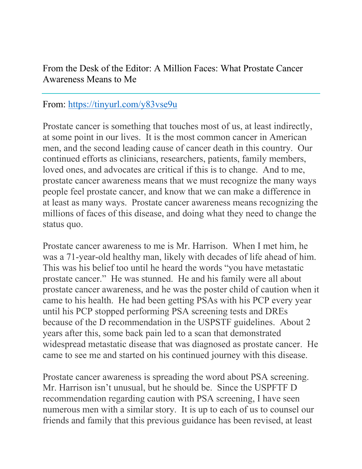From the Desk of the Editor: A Million Faces: What Prostate Cancer Awareness Means to Me

## From: https://tinyurl.com/y83vse9u

Prostate cancer is something that touches most of us, at least indirectly, at some point in our lives. It is the most common cancer in American men, and the second leading cause of cancer death in this country. Our continued efforts as clinicians, researchers, patients, family members, loved ones, and advocates are critical if this is to change. And to me, prostate cancer awareness means that we must recognize the many ways people feel prostate cancer, and know that we can make a difference in at least as many ways. Prostate cancer awareness means recognizing the millions of faces of this disease, and doing what they need to change the status quo.

Prostate cancer awareness to me is Mr. Harrison. When I met him, he was a 71-year-old healthy man, likely with decades of life ahead of him. This was his belief too until he heard the words "you have metastatic prostate cancer." He was stunned. He and his family were all about prostate cancer awareness, and he was the poster child of caution when it came to his health. He had been getting PSAs with his PCP every year until his PCP stopped performing PSA screening tests and DREs because of the D recommendation in the USPSTF guidelines. About 2 years after this, some back pain led to a scan that demonstrated widespread metastatic disease that was diagnosed as prostate cancer. He came to see me and started on his continued journey with this disease.

Prostate cancer awareness is spreading the word about PSA screening. Mr. Harrison isn't unusual, but he should be. Since the USPFTF D recommendation regarding caution with PSA screening, I have seen numerous men with a similar story. It is up to each of us to counsel our friends and family that this previous guidance has been revised, at least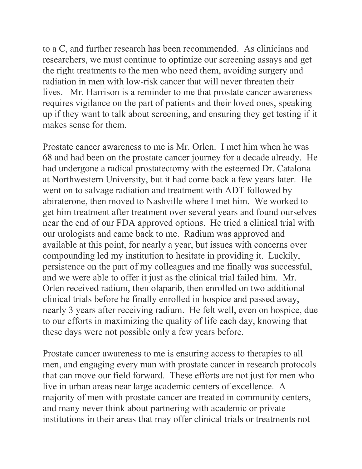to a C, and further research has been recommended. As clinicians and researchers, we must continue to optimize our screening assays and get the right treatments to the men who need them, avoiding surgery and radiation in men with low-risk cancer that will never threaten their lives. Mr. Harrison is a reminder to me that prostate cancer awareness requires vigilance on the part of patients and their loved ones, speaking up if they want to talk about screening, and ensuring they get testing if it makes sense for them.

Prostate cancer awareness to me is Mr. Orlen. I met him when he was 68 and had been on the prostate cancer journey for a decade already. He had undergone a radical prostatectomy with the esteemed Dr. Catalona at Northwestern University, but it had come back a few years later. He went on to salvage radiation and treatment with ADT followed by abiraterone, then moved to Nashville where I met him. We worked to get him treatment after treatment over several years and found ourselves near the end of our FDA approved options. He tried a clinical trial with our urologists and came back to me. Radium was approved and available at this point, for nearly a year, but issues with concerns over compounding led my institution to hesitate in providing it. Luckily, persistence on the part of my colleagues and me finally was successful, and we were able to offer it just as the clinical trial failed him. Mr. Orlen received radium, then olaparib, then enrolled on two additional clinical trials before he finally enrolled in hospice and passed away, nearly 3 years after receiving radium. He felt well, even on hospice, due to our efforts in maximizing the quality of life each day, knowing that these days were not possible only a few years before.

Prostate cancer awareness to me is ensuring access to therapies to all men, and engaging every man with prostate cancer in research protocols that can move our field forward. These efforts are not just for men who live in urban areas near large academic centers of excellence. A majority of men with prostate cancer are treated in community centers, and many never think about partnering with academic or private institutions in their areas that may offer clinical trials or treatments not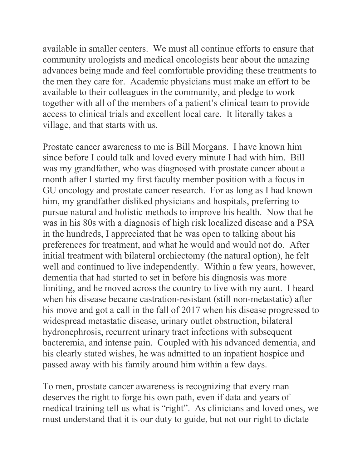available in smaller centers. We must all continue efforts to ensure that community urologists and medical oncologists hear about the amazing advances being made and feel comfortable providing these treatments to the men they care for. Academic physicians must make an effort to be available to their colleagues in the community, and pledge to work together with all of the members of a patient's clinical team to provide access to clinical trials and excellent local care. It literally takes a village, and that starts with us.

Prostate cancer awareness to me is Bill Morgans. I have known him since before I could talk and loved every minute I had with him. Bill was my grandfather, who was diagnosed with prostate cancer about a month after I started my first faculty member position with a focus in GU oncology and prostate cancer research. For as long as I had known him, my grandfather disliked physicians and hospitals, preferring to pursue natural and holistic methods to improve his health. Now that he was in his 80s with a diagnosis of high risk localized disease and a PSA in the hundreds, I appreciated that he was open to talking about his preferences for treatment, and what he would and would not do. After initial treatment with bilateral orchiectomy (the natural option), he felt well and continued to live independently. Within a few years, however, dementia that had started to set in before his diagnosis was more limiting, and he moved across the country to live with my aunt. I heard when his disease became castration-resistant (still non-metastatic) after his move and got a call in the fall of 2017 when his disease progressed to widespread metastatic disease, urinary outlet obstruction, bilateral hydronephrosis, recurrent urinary tract infections with subsequent bacteremia, and intense pain. Coupled with his advanced dementia, and his clearly stated wishes, he was admitted to an inpatient hospice and passed away with his family around him within a few days.

To men, prostate cancer awareness is recognizing that every man deserves the right to forge his own path, even if data and years of medical training tell us what is "right". As clinicians and loved ones, we must understand that it is our duty to guide, but not our right to dictate